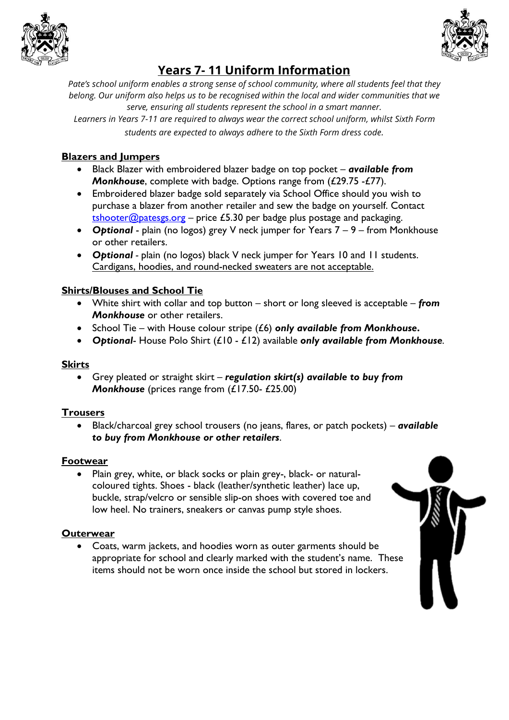



# **Years 7- 11 Uniform Information**

*Pate's school uniform enables a strong sense of school community, where all students feel that they belong. Our uniform also helps us to be recognised within the local and wider communities that we serve, ensuring all students represent the school in a smart manner.*

*Learners in Years 7-11 are required to always wear the correct school uniform, whilst Sixth Form students are expected to always adhere to the Sixth Form dress code.*

### **Blazers and Jumpers**

- Black Blazer with embroidered blazer badge on top pocket *available from Monkhouse*, complete with badge. Options range from (£29.75 -£77).
- Embroidered blazer badge sold separately via School Office should you wish to purchase a blazer from another retailer and sew the badge on yourself. Contact  $tshooter@patesgs.org$  – price £5.30 per badge plus postage and packaging.
- *Optional* plain (no logos) grey V neck jumper for Years 7 9 from Monkhouse or other retailers.
- *Optional -* plain (no logos) black V neck jumper for Years 10 and 11 students. Cardigans, hoodies, and round-necked sweaters are not acceptable.

## **Shirts/Blouses and School Tie**

- White shirt with collar and top button short or long sleeved is acceptable *from Monkhouse* or other retailers.
- School Tie with House colour stripe (£6) *only available from Monkhouse***.**
- *Optional* House Polo Shirt (£10 £12) available *only available from Monkhouse.*

#### **Skirts**

• Grey pleated or straight skirt – *regulation skirt(s) available to buy from Monkhouse* (prices range from (£17.50- £25.00)

#### **Trousers**

• Black/charcoal grey school trousers (no jeans, flares, or patch pockets) – *available to buy from Monkhouse or other retailers*.

#### **Footwear**

• Plain grey, white, or black socks or plain grey-, black- or naturalcoloured tights. Shoes - black (leather/synthetic leather) lace up, buckle, strap/velcro or sensible slip-on shoes with covered toe and low heel. No trainers, sneakers or canvas pump style shoes.

#### **Outerwear**

• Coats, warm jackets, and hoodies worn as outer garments should be appropriate for school and clearly marked with the student's name. These items should not be worn once inside the school but stored in lockers.